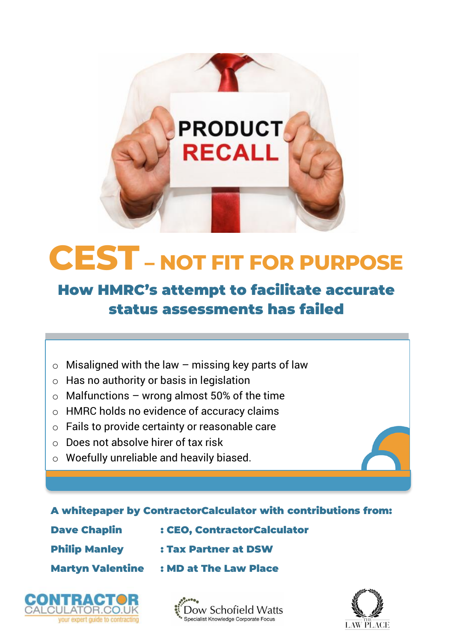

# **How HMRC's attempt to facilitate accurate status assessments has failed**

- $\circ$  Misaligned with the law missing key parts of law
- o Has no authority or basis in legislation
- $\circ$  Malfunctions wrong almost 50% of the time
- o HMRC holds no evidence of accuracy claims
- o Fails to provide certainty or reasonable care
- o Does not absolve hirer of tax risk
- o Woefully unreliable and heavily biased.

#### **A whitepaper by ContractorCalculator with contributions from:**

**Dave Chaplin : CEO, ContractorCalculator**

- **Philip Manley : Tax Partner at DSW**
- **Martyn Valentine : MD at The Law Place**





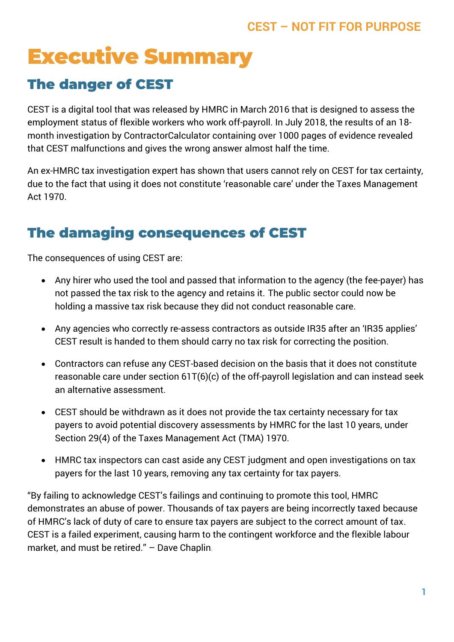# **Executive Summary**

## **The danger of CEST**

CEST is a digital tool that was released by HMRC in March 2016 that is designed to assess the employment status of flexible workers who work off-payroll. In July 2018, the results of an 18 month investigation by ContractorCalculator containing over 1000 pages of evidence revealed that CEST malfunctions and gives the wrong answer almost half the time.

An ex-HMRC tax investigation expert has shown that users cannot rely on CEST for tax certainty, due to the fact that using it does not constitute 'reasonable care' under the Taxes Management Act 1970.

## **The damaging consequences of CEST**

The consequences of using CEST are:

- Any hirer who used the tool and passed that information to the agency (the fee-payer) has not passed the tax risk to the agency and retains it. The public sector could now be holding a massive tax risk because they did not conduct reasonable care.
- Any agencies who correctly re-assess contractors as outside IR35 after an 'IR35 applies' CEST result is handed to them should carry no tax risk for correcting the position.
- Contractors can refuse any CEST-based decision on the basis that it does not constitute reasonable care under section 61T(6)(c) of the off-payroll legislation and can instead seek an alternative assessment.
- CEST should be withdrawn as it does not provide the tax certainty necessary for tax payers to avoid potential discovery assessments by HMRC for the last 10 years, under Section 29(4) of the Taxes Management Act (TMA) 1970.
- HMRC tax inspectors can cast aside any CEST judgment and open investigations on tax payers for the last 10 years, removing any tax certainty for tax payers.

"By failing to acknowledge CEST's failings and continuing to promote this tool, HMRC demonstrates an abuse of power. Thousands of tax payers are being incorrectly taxed because of HMRC's lack of duty of care to ensure tax payers are subject to the correct amount of tax. CEST is a failed experiment, causing harm to the contingent workforce and the flexible labour market, and must be retired." – Dave Chaplin.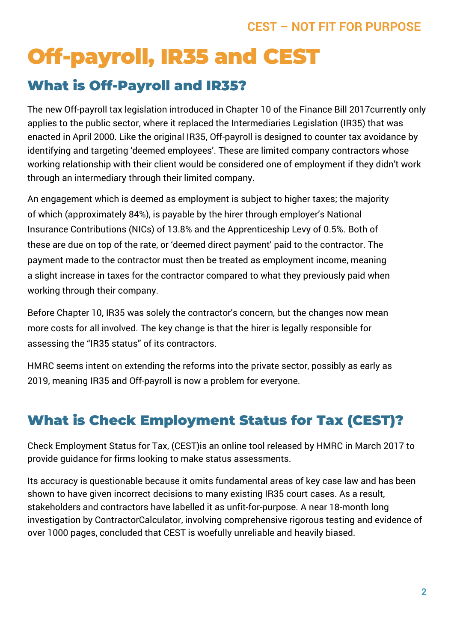# **Off-payroll, IR35 and CEST**

## **What is Off-Payroll and IR35?**

The new Off-payroll tax legislation introduced in Chapter 10 of the Finance Bill 2017currently only applies to the public sector, where it replaced the Intermediaries Legislation (IR35) that was enacted in April 2000. Like the original IR35, Off-payroll is designed to counter tax avoidance by identifying and targeting 'deemed employees'. These are limited company contractors whose working relationship with their client would be considered one of employment if they didn't work through an intermediary through their limited company.

An engagement which is deemed as employment is subject to higher taxes; the majority of which (approximately 84%), is payable by the hirer through employer's National Insurance Contributions (NICs) of 13.8% and the Apprenticeship Levy of 0.5%. Both of these are due on top of the rate, or 'deemed direct payment' paid to the contractor. The payment made to the contractor must then be treated as employment income, meaning a slight increase in taxes for the contractor compared to what they previously paid when working through their company.

Before Chapter 10, IR35 was solely the contractor's concern, but the changes now mean more costs for all involved. The key change is that the hirer is legally responsible for assessing the "IR35 status" of its contractors.

HMRC seems intent on extending the reforms into the private sector, possibly as early as 2019, meaning IR35 and Off-payroll is now a problem for everyone.

# **What is Check Employment Status for Tax (CEST)?**

Check Employment Status for Tax, (CEST)is an online tool released by HMRC in March 2017 to provide guidance for firms looking to make status assessments.

Its accuracy is questionable because it omits fundamental areas of key case law and has been shown to have given incorrect decisions to many existing IR35 court cases. As a result, stakeholders and contractors have labelled it as unfit-for-purpose. A near 18-month long investigation by ContractorCalculator, involving comprehensive rigorous testing and evidence of over 1000 pages, concluded that CEST is woefully unreliable and heavily biased.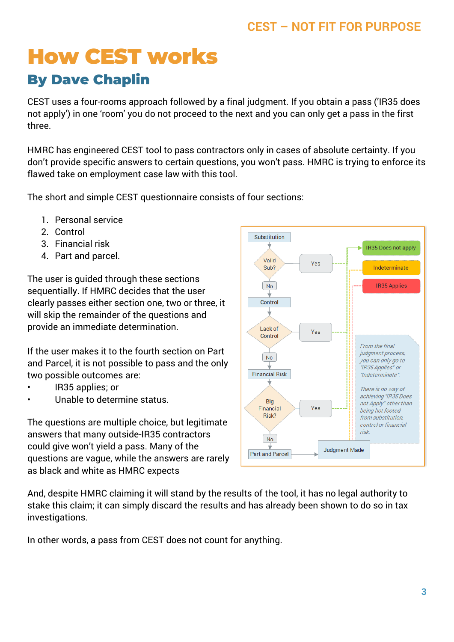# **How CEST works**

## **By Dave Chaplin**

CEST uses a four-rooms approach followed by a final judgment. If you obtain a pass ('IR35 does not apply') in one 'room' you do not proceed to the next and you can only get a pass in the first three.

HMRC has engineered CEST tool to pass contractors only in cases of absolute certainty. If you don't provide specific answers to certain questions, you won't pass. HMRC is trying to enforce its flawed take on employment case law with this tool.

The short and simple CEST questionnaire consists of four sections:

- 1. Personal service
- 2. Control
- 3. Financial risk
- 4. Part and parcel.

The user is guided through these sections sequentially. If HMRC decides that the user clearly passes either section one, two or three, it will skip the remainder of the questions and provide an immediate determination.

If the user makes it to the fourth section on Part and Parcel, it is not possible to pass and the only two possible outcomes are:

- IR35 applies; or
- Unable to determine status.

The questions are multiple choice, but legitimate answers that many outside-IR35 contractors could give won't yield a pass. Many of the questions are vague, while the answers are rarely as black and white as HMRC expects



And, despite HMRC claiming it will stand by the results of the tool, it has no legal authority to stake this claim; it can simply discard the results and has already been shown to do so in tax investigations.

In other words, a pass from CEST does not count for anything.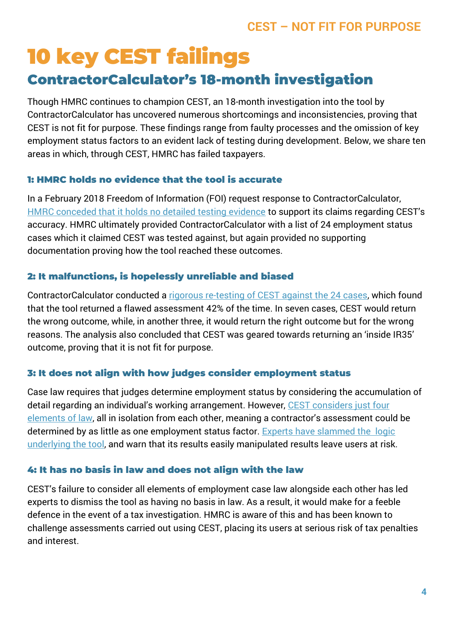# **10 key CEST failings**

## **ContractorCalculator's 18-month investigation**

Though HMRC continues to champion CEST, an 18-month investigation into the tool by ContractorCalculator has uncovered numerous shortcomings and inconsistencies, proving that CEST is not fit for purpose. These findings range from faulty processes and the omission of key employment status factors to an evident lack of testing during development. Below, we share ten areas in which, through CEST, HMRC has failed taxpayers.

#### **1: HMRC holds no evidence that the tool is accurate**

In a February 2018 Freedom of Information (FOI) request response to ContractorCalculator, [HMRC conceded that it holds no detailed testing evidence](https://www.contractorcalculator.co.uk/hmrc_holds_detailed_evidence_prove_cest_540010_news.aspx) to support its claims regarding CEST's accuracy. HMRC ultimately provided ContractorCalculator with a list of 24 employment status cases which it claimed CEST was tested against, but again provided no supporting documentation proving how the tool reached these outcomes.

#### **2: It malfunctions, is hopelessly unreliable and biased**

ContractorCalculator conducted a [rigorous re-testing of CEST against the 24 cases,](https://www.contractorcalculator.co.uk/cest_exposed_hopelessly_unreliable_hmrcs_foi_543610_news.aspx) which found that the tool returned a flawed assessment 42% of the time. In seven cases, CEST would return the wrong outcome, while, in another three, it would return the right outcome but for the wrong reasons. The analysis also concluded that CEST was geared towards returning an 'inside IR35' outcome, proving that it is not fit for purpose.

#### **3: It does not align with how judges consider employment status**

Case law requires that judges determine employment status by considering the accumulation of detail regarding an individual's working arrangement. However, [CEST considers just four](https://www.contractorcalculator.co.uk/how_ir35_pass_hmrc_status_tool.aspx)  [elements of law](https://www.contractorcalculator.co.uk/how_ir35_pass_hmrc_status_tool.aspx), all in isolation from each other, meaning a contractor's assessment could be determined by as little as one employment status factor. [Experts have slammed the logic](https://www.contractorcalculator.co.uk/experts_slam_logic_underlying_hmrc_ir35_tool_535010_news.aspx)  [underlying the tool,](https://www.contractorcalculator.co.uk/experts_slam_logic_underlying_hmrc_ir35_tool_535010_news.aspx) and warn that its results easily manipulated results leave users at risk.

#### **4: It has no basis in law and does not align with the law**

CEST's failure to consider all elements of employment case law alongside each other has led experts to dismiss the tool as having [no basis in law.](https://www.contractorcalculator.co.uk/hmrc_ess_tool_has_legal_authority_ir35_533910_news.aspx) As a result, it would make for a feeble defence in the event of a tax investigation. HMRC is aware of this and has been known to challenge assessments carried out using CEST, placing its users at serious risk of tax penalties and interest.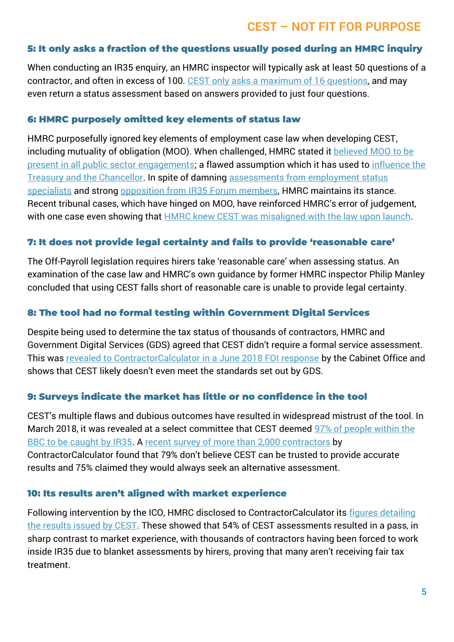#### **5: It only asks a fraction of the questions usually posed during an HMRC inquiry**

When conducting an IR35 enquiry, an HMRC inspector will typically ask at least 50 questions of a contractor, and often in excess of 100. [CEST only asks a maximum of 16 questions,](https://www.contractorcalculator.co.uk/cest_fraction_questions_hmrc_inquiry_543410_news.aspx) and may even return a status assessment based on answers provided to just four questions.

#### **6: HMRC purposely omitted key elements of status law**

HMRC purposefully ignored key elements of employment case law when developing CEST, including mutuality of obligation (MOO). When challenged, HMRC stated it **believed MOO** to be [present in all public sector engagements;](https://www.contractorcalculator.co.uk/hmrc_key_ir35_case_law_cest_tool_537610_news.aspx) a flawed assumption which it has used to [influence the](https://www.contractorcalculator.co.uk/hmrc_misled_chancellor_treasury_payroll_tax_ir35_542110_news.aspx)  [Treasury and the Chancellor.](https://www.contractorcalculator.co.uk/hmrc_misled_chancellor_treasury_payroll_tax_ir35_542110_news.aspx) In spite of damning [assessments from employment status](https://www.contractorcalculator.co.uk/latest_contractor_ir35_tribunal_win_cest_flawed_541510_news.aspx)  [specialists](https://www.contractorcalculator.co.uk/latest_contractor_ir35_tribunal_win_cest_flawed_541510_news.aspx) and strong [opposition from IR35 Forum members,](https://www.contractorcalculator.co.uk/hmrc_dismisses_ir35_forums_members_views_543010_news.aspx) HMRC maintains its stance. Recent tribunal cases, which have hinged on MOO, have reinforced HMRC's error of judgement, with one case even showing that **HMRC** knew CEST was misaligned with the law upon launch.

#### **7: It does not provide legal certainty and fails to provide 'reasonable care'**

The Off-Payroll legislation requires hirers take 'reasonable care' when assessing status. An examination of the case law and HMRC's own guidance by former HMRC inspector Philip Manley concluded that using CEST falls short of reasonable care is unable to provide legal certainty.

#### **8: The tool had no formal testing within Government Digital Services**

Despite being used to determine the tax status of thousands of contractors, HMRC and Government Digital Services (GDS) agreed that CEST didn't require a formal service assessment. This was [revealed to ContractorCalculator in a June 2018 FOI response](https://www.contractorcalculator.co.uk/cest_formally_assessed_governments_standards_foi_543810_news.aspx) by the Cabinet Office and shows that CEST likely doesn't even meet the standards set out by GDS.

#### **9: Surveys indicate the market has little or no confidence in the tool**

CEST's multiple flaws and dubious outcomes have resulted in widespread mistrust of the tool. In March 2018, it was revealed at a select committee that CEST deemed 97% of people within the [BBC to be caught by IR35.](https://www.contractorcalculator.co.uk/bbc_pay_fiasco_highlights_mess_public_sector_ir35_539610_news.aspx) A [recent survey of more than 2,000 contractors](https://www.contractorcalculator.co.uk/business_disruption_payroll_tax_private_sector_542510_news.aspx) by ContractorCalculator found that 79% don't believe CEST can be trusted to provide accurate results and 75% claimed they would always seek an alternative assessment.

#### **10: Its results aren't aligned with market experience**

Following intervention by the ICO, HMRC disclosed to ContractorCalculator its [figures detailing](https://www.contractorcalculator.co.uk/hmrcs_cest_figures_wrongful_tax_treatment_540410_news.aspx)  [the results issued by CEST.](https://www.contractorcalculator.co.uk/hmrcs_cest_figures_wrongful_tax_treatment_540410_news.aspx) These showed that 54% of CEST assessments resulted in a pass, in sharp contrast to market experience, with thousands of contractors having been forced to work inside IR35 due to blanket assessments by hirers, proving that many aren't receiving fair tax treatment.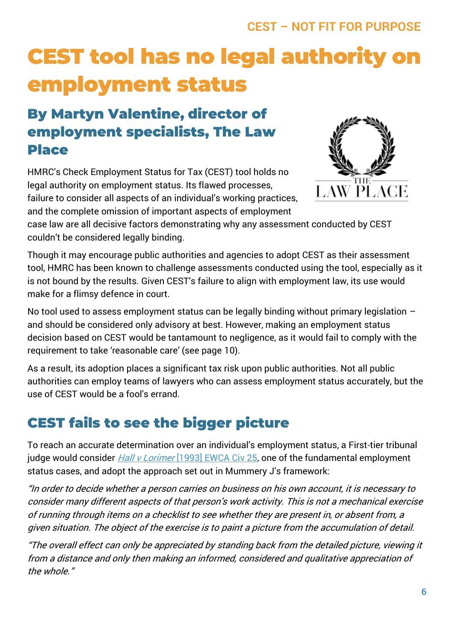# **CEST tool has no legal authority on employment status**

## **By Martyn Valentine, director of employment specialists, The Law Place**

HMRC's Check Employment Status for Tax (CEST) tool holds no legal authority on employment status. Its flawed processes, failure to consider all aspects of an individual's working practices, and the complete omission of important aspects of employment



case law are all decisive factors demonstrating why any assessment conducted by CEST couldn't be considered legally binding.

Though it may encourage public authorities and agencies to adopt CEST as their assessment tool, HMRC has been known to challenge assessments conducted using the tool, especially as it is not bound by the results. Given CEST's failure to align with employment law, its use would make for a flimsy defence in court.

No tool used to assess employment status can be legally binding without primary legislation – and should be considered only advisory at best. However, making an employment status decision based on CEST would be tantamount to negligence, as it would fail to comply with the requirement to take 'reasonable care' (see page 10).

As a result, its adoption places a significant tax risk upon public authorities. Not all public authorities can employ teams of lawyers who can assess employment status accurately, but the use of CEST would be a fool's errand.

# **CEST fails to see the bigger picture**

To reach an accurate determination over an individual's employment status, a First-tier tribunal judge would consider *Hall v Lorimer* [\[1993\] EWCA Civ 25,](http://www.bailii.org/ew/cases/EWCA/Civ/1993/25.html) one of the fundamental employment status cases, and adopt the approach set out in Mummery J's framework:

"In order to decide whether a person carries on business on his own account, it is necessary to consider many different aspects of that person's work activity. This is not a mechanical exercise of running through items on a checklist to see whether they are present in, or absent from, a given situation. The object of the exercise is to paint a picture from the accumulation of detail.

"The overall effect can only be appreciated by standing back from the detailed picture, viewing it from a distance and only then making an informed, considered and qualitative appreciation of the whole."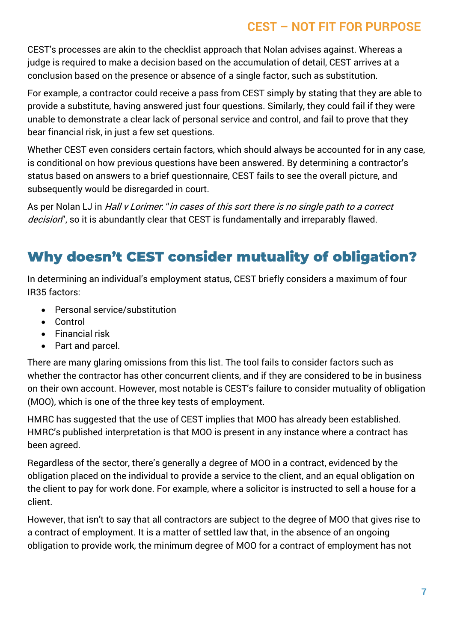CEST's processes are akin to the checklist approach that Nolan advises against. Whereas a judge is required to make a decision based on the accumulation of detail, CEST arrives at a conclusion based on the presence or absence of a single factor, such as substitution.

For example, a contractor could receive a pass from CEST simply by stating that they are able to provide a substitute, having answered just four questions. Similarly, they could fail if they were unable to demonstrate a clear lack of personal service and control, and fail to prove that they bear financial risk, in just a few set questions.

Whether CEST even considers certain factors, which should always be accounted for in any case, is conditional on how previous questions have been answered. By determining a contractor's status based on answers to a brief questionnaire, CEST fails to see the overall picture, and subsequently would be disregarded in court.

As per Nolan LJ in Hall v Lorimer. "in cases of this sort there is no single path to a correct decision", so it is abundantly clear that CEST is fundamentally and irreparably flawed.

# **Why doesn't CEST consider mutuality of obligation?**

In determining an individual's employment status, CEST briefly considers a maximum of four IR35 factors:

- Personal service/substitution
- Control
- Financial risk
- Part and parcel.

There are many glaring omissions from this list. The tool fails to consider factors such as whether the contractor has other concurrent clients, and if they are considered to be in business on their own account. However, most notable is CEST's failure to consider mutuality of obligation (MOO), which is one of the three key tests of employment.

HMRC has suggested that the use of CEST implies that MOO has already been established. HMRC's published interpretation is that MOO is present in any instance where a contract has been agreed.

Regardless of the sector, there's generally a degree of MOO in a contract, evidenced by the obligation placed on the individual to provide a service to the client, and an equal obligation on the client to pay for work done. For example, where a solicitor is instructed to sell a house for a client.

However, that isn't to say that all contractors are subject to the degree of MOO that gives rise to a contract of employment. It is a matter of settled law that, in the absence of an ongoing obligation to provide work, the minimum degree of MOO for a contract of employment has not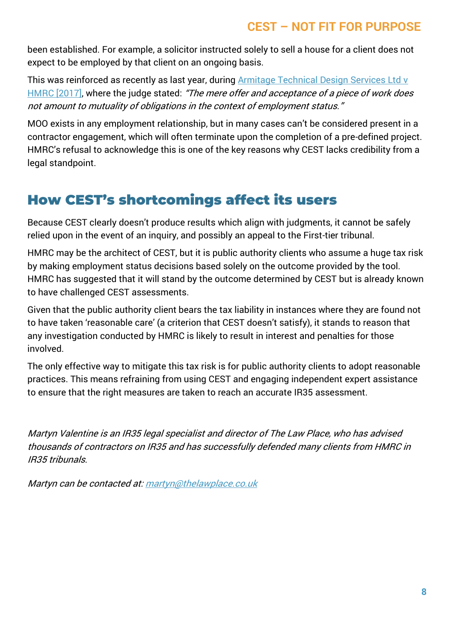been established. For example, a solicitor instructed solely to sell a house for a client does not expect to be employed by that client on an ongoing basis.

This was reinforced as recently as last year, durin[g Armitage Technical Design Services Ltd v](https://www.contractorcalculator.co.uk/docs/IR35-Armitage-Technical-Design.pdf)  [HMRC \[2017\],](https://www.contractorcalculator.co.uk/docs/IR35-Armitage-Technical-Design.pdf) where the judge stated: "The mere offer and acceptance of a piece of work does not amount to mutuality of obligations in the context of employment status."

MOO exists in any employment relationship, but in many cases can't be considered present in a contractor engagement, which will often terminate upon the completion of a pre-defined project. HMRC's refusal to acknowledge this is one of the key reasons why CEST lacks credibility from a legal standpoint.

## **How CEST's shortcomings affect its users**

Because CEST clearly doesn't produce results which align with judgments, it cannot be safely relied upon in the event of an inquiry, and possibly an appeal to the First-tier tribunal.

HMRC may be the architect of CEST, but it is public authority clients who assume a huge tax risk by making employment status decisions based solely on the outcome provided by the tool. HMRC has suggested that it will stand by the outcome determined by CEST but is already known to have challenged CEST assessments.

Given that the public authority client bears the tax liability in instances where they are found not to have taken 'reasonable care' (a criterion that CEST doesn't satisfy), it stands to reason that any investigation conducted by HMRC is likely to result in interest and penalties for those involved.

The only effective way to mitigate this tax risk is for public authority clients to adopt reasonable practices. This means refraining from using CEST and engaging independent expert assistance to ensure that the right measures are taken to reach an accurate IR35 assessment.

Martyn Valentine is an IR35 legal specialist and director of The Law Place, who has advised thousands of contractors on IR35 and has successfully defended many clients from HMRC in IR35 tribunals.

Martyn can be contacted at[: martyn@thelawplace.co.uk](mailto:martyn@thelawplace.co.uk)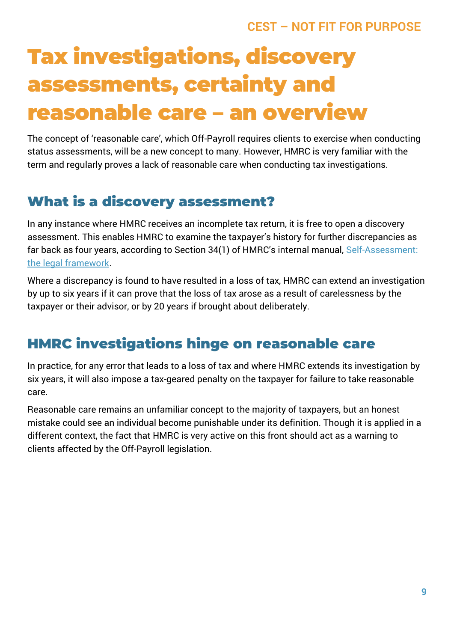# **Tax investigations, discovery assessments, certainty and reasonable care – an overview**

The concept of 'reasonable care', which Off-Payroll requires clients to exercise when conducting status assessments, will be a new concept to many. However, HMRC is very familiar with the term and regularly proves a lack of reasonable care when conducting tax investigations.

# **What is a discovery assessment?**

In any instance where HMRC receives an incomplete tax return, it is free to open a discovery assessment. This enables HMRC to examine the taxpayer's history for further discrepancies as far back as four years, according to Section 34(1) of HMRC's internal manual, [Self-Assessment:](https://www.gov.uk/hmrc-internal-manuals/self-assessment-legal-framework)  [the legal framework.](https://www.gov.uk/hmrc-internal-manuals/self-assessment-legal-framework)

Where a discrepancy is found to have resulted in a loss of tax, HMRC can extend an investigation by up to six years if it can prove that the loss of tax arose as a result of carelessness by the taxpayer or their advisor, or by 20 years if brought about deliberately.

# **HMRC investigations hinge on reasonable care**

In practice, for any error that leads to a loss of tax and where HMRC extends its investigation by six years, it will also impose a tax-geared penalty on the taxpayer for failure to take reasonable care.

Reasonable care remains an unfamiliar concept to the majority of taxpayers, but an honest mistake could see an individual become punishable under its definition. Though it is applied in a different context, the fact that HMRC is very active on this front should act as a warning to clients affected by the Off-Payroll legislation.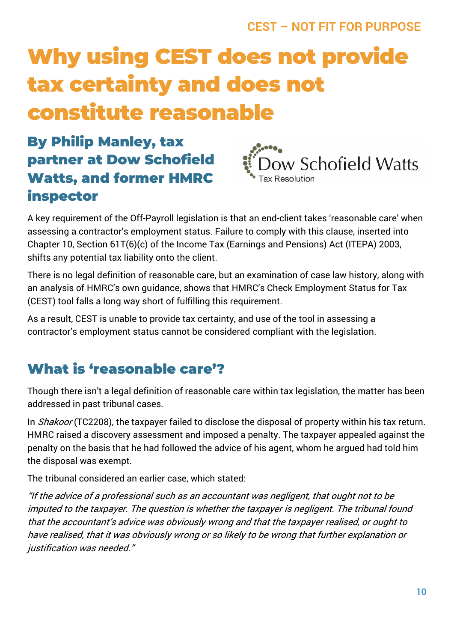# **Why using CEST does not provide tax certainty and does not constitute reasonable**

# **By Philip Manley, tax partner at Dow Schofield Watts, and former HMRC inspector**



A key requirement of the Off-Payroll legislation is that an end-client takes 'reasonable care' when assessing a contractor's employment status. Failure to comply with this clause, inserted into Chapter 10, Section 61T(6)(c) of the Income Tax (Earnings and Pensions) Act (ITEPA) 2003, shifts any potential tax liability onto the client.

There is no legal definition of reasonable care, but an examination of case law history, along with an analysis of HMRC's own guidance, shows that HMRC's Check Employment Status for Tax (CEST) tool falls a long way short of fulfilling this requirement.

As a result, CEST is unable to provide tax certainty, and use of the tool in assessing a contractor's employment status cannot be considered compliant with the legislation.

# **What is 'reasonable care'?**

Though there isn't a legal definition of reasonable care within tax legislation, the matter has been addressed in past tribunal cases.

In *Shakoor* (TC2208), the taxpayer failed to disclose the disposal of property within his tax return. HMRC raised a discovery assessment and imposed a penalty. The taxpayer appealed against the penalty on the basis that he had followed the advice of his agent, whom he argued had told him the disposal was exempt.

The tribunal considered an earlier case, which stated:

"If the advice of a professional such as an accountant was negligent, that ought not to be imputed to the taxpayer. The question is whether the taxpayer is negligent. The tribunal found that the accountant's advice was obviously wrong and that the taxpayer realised, or ought to have realised, that it was obviously wrong or so likely to be wrong that further explanation or justification was needed."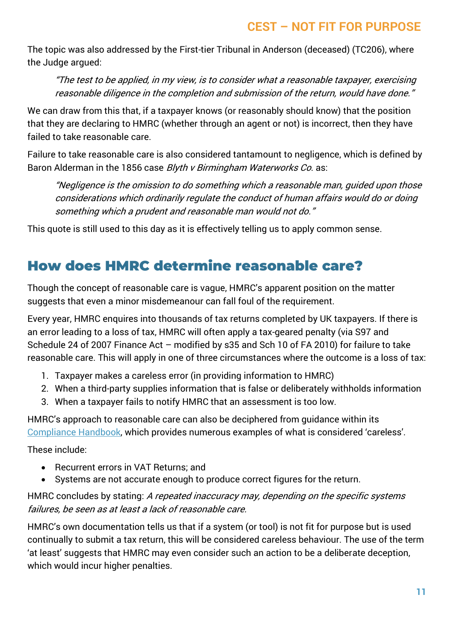The topic was also addressed by the First-tier Tribunal in Anderson (deceased) (TC206), where the Judge argued:

"The test to be applied, in my view, is to consider what a reasonable taxpayer, exercising reasonable diligence in the completion and submission of the return, would have done."

We can draw from this that, if a taxpayer knows (or reasonably should know) that the position that they are declaring to HMRC (whether through an agent or not) is incorrect, then they have failed to take reasonable care.

Failure to take reasonable care is also considered tantamount to negligence, which is defined by Baron Alderman in the 1856 case Blyth v Birmingham Waterworks Co. as:

"Negligence is the omission to do something which a reasonable man, guided upon those considerations which ordinarily regulate the conduct of human affairs would do or doing something which a prudent and reasonable man would not do."

This quote is still used to this day as it is effectively telling us to apply common sense.

## **How does HMRC determine reasonable care?**

Though the concept of reasonable care is vague, HMRC's apparent position on the matter suggests that even a minor misdemeanour can fall foul of the requirement.

Every year, HMRC enquires into thousands of tax returns completed by UK taxpayers. If there is an error leading to a loss of tax, HMRC will often apply a tax-geared penalty (via S97 and Schedule 24 of 2007 Finance Act – modified by s35 and Sch 10 of FA 2010) for failure to take reasonable care. This will apply in one of three circumstances where the outcome is a loss of tax:

- 1. Taxpayer makes a careless error (in providing information to HMRC)
- 2. When a third-party supplies information that is false or deliberately withholds information
- 3. When a taxpayer fails to notify HMRC that an assessment is too low.

HMRC's approach to reasonable care can also be deciphered from guidance within its [Compliance Handbook](https://www.gov.uk/hmrc-internal-manuals/compliance-handbook/ch81145), which provides numerous examples of what is considered 'careless'.

These include:

- Recurrent errors in VAT Returns: and
- Systems are not accurate enough to produce correct figures for the return.

HMRC concludes by stating: A repeated inaccuracy may, depending on the specific systems failures, be seen as at least a lack of reasonable care.

HMRC's own documentation tells us that if a system (or tool) is not fit for purpose but is used continually to submit a tax return, this will be considered careless behaviour. The use of the term 'at least' suggests that HMRC may even consider such an action to be a deliberate deception, which would incur higher penalties.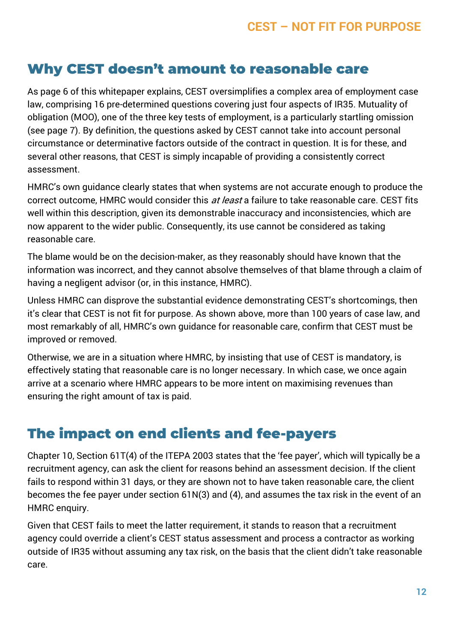## **Why CEST doesn't amount to reasonable care**

As page 6 of this whitepaper explains, CEST oversimplifies a complex area of employment case law, comprising 16 pre-determined questions covering just four aspects of IR35. Mutuality of obligation (MOO), one of the three key tests of employment, is a particularly startling omission (see page 7). By definition, the questions asked by CEST cannot take into account personal circumstance or determinative factors outside of the contract in question. It is for these, and several other reasons, that CEST is simply incapable of providing a consistently correct assessment.

HMRC's own guidance clearly states that when systems are not accurate enough to produce the correct outcome, HMRC would consider this at least a failure to take reasonable care. CEST fits well within this description, given its demonstrable inaccuracy and inconsistencies, which are now apparent to the wider public. Consequently, its use cannot be considered as taking reasonable care.

The blame would be on the decision-maker, as they reasonably should have known that the information was incorrect, and they cannot absolve themselves of that blame through a claim of having a negligent advisor (or, in this instance, HMRC).

Unless HMRC can disprove the substantial evidence demonstrating CEST's shortcomings, then it's clear that CEST is not fit for purpose. As shown above, more than 100 years of case law, and most remarkably of all, HMRC's own guidance for reasonable care, confirm that CEST must be improved or removed.

Otherwise, we are in a situation where HMRC, by insisting that use of CEST is mandatory, is effectively stating that reasonable care is no longer necessary. In which case, we once again arrive at a scenario where HMRC appears to be more intent on maximising revenues than ensuring the right amount of tax is paid.

## **The impact on end clients and fee-payers**

Chapter 10, Section 61T(4) of the ITEPA 2003 states that the 'fee payer', which will typically be a recruitment agency, can ask the client for reasons behind an assessment decision. If the client fails to respond within 31 days, or they are shown not to have taken reasonable care, the client becomes the fee payer under section 61N(3) and (4), and assumes the tax risk in the event of an HMRC enquiry.

Given that CEST fails to meet the latter requirement, it stands to reason that a recruitment agency could override a client's CEST status assessment and process a contractor as working outside of IR35 without assuming any tax risk, on the basis that the client didn't take reasonable care.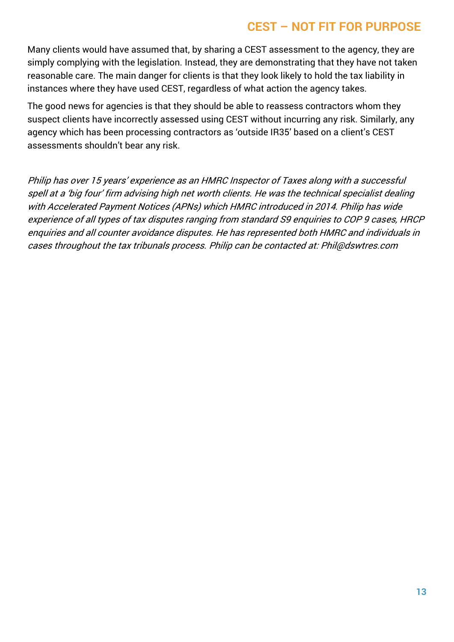Many clients would have assumed that, by sharing a CEST assessment to the agency, they are simply complying with the legislation. Instead, they are demonstrating that they have not taken reasonable care. The main danger for clients is that they look likely to hold the tax liability in instances where they have used CEST, regardless of what action the agency takes.

The good news for agencies is that they should be able to reassess contractors whom they suspect clients have incorrectly assessed using CEST without incurring any risk. Similarly, any agency which has been processing contractors as 'outside IR35' based on a client's CEST assessments shouldn't bear any risk.

Philip has over 15 years' experience as an HMRC Inspector of Taxes along with a successful spell at a 'big four' firm advising high net worth clients. He was the technical specialist dealing with Accelerated Payment Notices (APNs) which HMRC introduced in 2014. Philip has wide experience of all types of tax disputes ranging from standard S9 enquiries to COP 9 cases, HRCP enquiries and all counter avoidance disputes. He has represented both HMRC and individuals in cases throughout the tax tribunals process. Philip can be contacted at: Phil@dswtres.com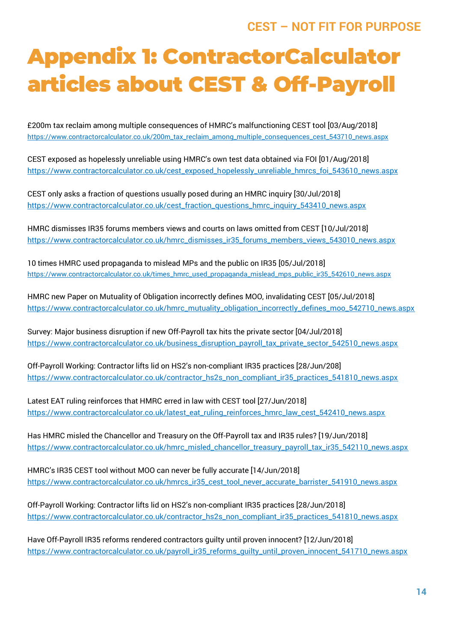# **Appendix 1: ContractorCalculator articles about CEST & Off-Payroll**

£200m tax reclaim among multiple consequences of HMRC's malfunctioning CEST tool [03/Aug/2018] [https://www.contractorcalculator.co.uk/200m\\_tax\\_reclaim\\_among\\_multiple\\_consequences\\_cest\\_543710\\_news.aspx](https://www.contractorcalculator.co.uk/200m_tax_reclaim_among_multiple_consequences_cest_543710_news.aspx)

CEST exposed as hopelessly unreliable using HMRC's own test data obtained via FOI [01/Aug/2018] https://www.contractorcalculator.co.uk/cest\_exposed\_hopelessly\_unreliable\_hmrcs\_foi\_543610\_news.aspx

CEST only asks a fraction of questions usually posed during an HMRC inquiry [30/Jul/2018] [https://www.contractorcalculator.co.uk/cest\\_fraction\\_questions\\_hmrc\\_inquiry\\_543410\\_news.aspx](https://www.contractorcalculator.co.uk/cest_fraction_questions_hmrc_inquiry_543410_news.aspx)

HMRC dismisses IR35 forums members views and courts on laws omitted from CEST [10/Jul/2018] [https://www.contractorcalculator.co.uk/hmrc\\_dismisses\\_ir35\\_forums\\_members\\_views\\_543010\\_news.aspx](https://www.contractorcalculator.co.uk/hmrc_dismisses_ir35_forums_members_views_543010_news.aspx)

10 times HMRC used propaganda to mislead MPs and the public on IR35 [05/Jul/2018] [https://www.contractorcalculator.co.uk/times\\_hmrc\\_used\\_propaganda\\_mislead\\_mps\\_public\\_ir35\\_542610\\_news.aspx](https://www.contractorcalculator.co.uk/times_hmrc_used_propaganda_mislead_mps_public_ir35_542610_news.aspx)

HMRC new Paper on Mutuality of Obligation incorrectly defines MOO, invalidating CEST [05/Jul/2018] [https://www.contractorcalculator.co.uk/hmrc\\_mutuality\\_obligation\\_incorrectly\\_defines\\_moo\\_542710\\_news.aspx](https://www.contractorcalculator.co.uk/hmrc_mutuality_obligation_incorrectly_defines_moo_542710_news.aspx)

Survey: Major business disruption if new Off-Payroll tax hits the private sector [04/Jul/2018] [https://www.contractorcalculator.co.uk/business\\_disruption\\_payroll\\_tax\\_private\\_sector\\_542510\\_news.aspx](https://www.contractorcalculator.co.uk/business_disruption_payroll_tax_private_sector_542510_news.aspx)

Off-Payroll Working: Contractor lifts lid on HS2's non-compliant IR35 practices [28/Jun/208] [https://www.contractorcalculator.co.uk/contractor\\_hs2s\\_non\\_compliant\\_ir35\\_practices\\_541810\\_news.aspx](https://www.contractorcalculator.co.uk/contractor_hs2s_non_compliant_ir35_practices_541810_news.aspx)

Latest EAT ruling reinforces that HMRC erred in law with CEST tool [27/Jun/2018] [https://www.contractorcalculator.co.uk/latest\\_eat\\_ruling\\_reinforces\\_hmrc\\_law\\_cest\\_542410\\_news.aspx](https://www.contractorcalculator.co.uk/latest_eat_ruling_reinforces_hmrc_law_cest_542410_news.aspx)

Has HMRC misled the Chancellor and Treasury on the Off-Payroll tax and IR35 rules? [19/Jun/2018] [https://www.contractorcalculator.co.uk/hmrc\\_misled\\_chancellor\\_treasury\\_payroll\\_tax\\_ir35\\_542110\\_news.aspx](https://www.contractorcalculator.co.uk/hmrc_misled_chancellor_treasury_payroll_tax_ir35_542110_news.aspx)

HMRC's IR35 CEST tool without MOO can never be fully accurate [14/Jun/2018] [https://www.contractorcalculator.co.uk/hmrcs\\_ir35\\_cest\\_tool\\_never\\_accurate\\_barrister\\_541910\\_news.aspx](https://www.contractorcalculator.co.uk/hmrcs_ir35_cest_tool_never_accurate_barrister_541910_news.aspx)

Off-Payroll Working: Contractor lifts lid on HS2's non-compliant IR35 practices [28/Jun/2018] [https://www.contractorcalculator.co.uk/contractor\\_hs2s\\_non\\_compliant\\_ir35\\_practices\\_541810\\_news.aspx](https://www.contractorcalculator.co.uk/contractor_hs2s_non_compliant_ir35_practices_541810_news.aspx)

Have Off-Payroll IR35 reforms rendered contractors guilty until proven innocent? [12/Jun/2018] [https://www.contractorcalculator.co.uk/payroll\\_ir35\\_reforms\\_guilty\\_until\\_proven\\_innocent\\_541710\\_news.aspx](https://www.contractorcalculator.co.uk/payroll_ir35_reforms_guilty_until_proven_innocent_541710_news.aspx)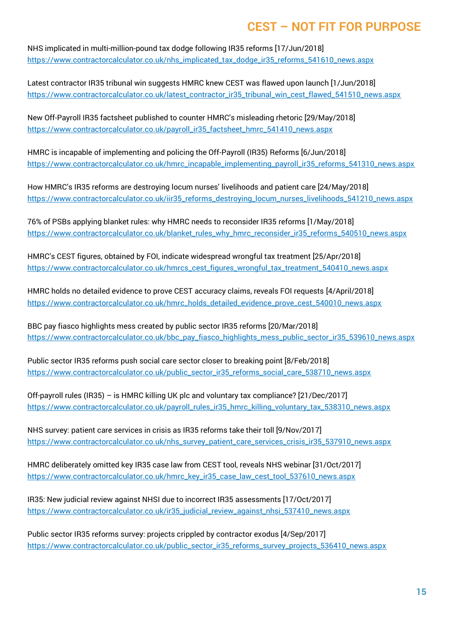NHS implicated in multi-million-pound tax dodge following IR35 reforms [17/Jun/2018] [https://www.contractorcalculator.co.uk/nhs\\_implicated\\_tax\\_dodge\\_ir35\\_reforms\\_541610\\_news.aspx](https://www.contractorcalculator.co.uk/nhs_implicated_tax_dodge_ir35_reforms_541610_news.aspx)

Latest contractor IR35 tribunal win suggests HMRC knew CEST was flawed upon launch [1/Jun/2018] [https://www.contractorcalculator.co.uk/latest\\_contractor\\_ir35\\_tribunal\\_win\\_cest\\_flawed\\_541510\\_news.aspx](https://www.contractorcalculator.co.uk/latest_contractor_ir35_tribunal_win_cest_flawed_541510_news.aspx)

New Off-Payroll IR35 factsheet published to counter HMRC's misleading rhetoric [29/May/2018] [https://www.contractorcalculator.co.uk/payroll\\_ir35\\_factsheet\\_hmrc\\_541410\\_news.aspx](https://www.contractorcalculator.co.uk/payroll_ir35_factsheet_hmrc_541410_news.aspx)

HMRC is incapable of implementing and policing the Off-Payroll (IR35) Reforms [6/Jun/2018] [https://www.contractorcalculator.co.uk/hmrc\\_incapable\\_implementing\\_payroll\\_ir35\\_reforms\\_541310\\_news.aspx](https://www.contractorcalculator.co.uk/hmrc_incapable_implementing_payroll_ir35_reforms_541310_news.aspx)

How HMRC's IR35 reforms are destroying locum nurses' livelihoods and patient care [24/May/2018] [https://www.contractorcalculator.co.uk/iir35\\_reforms\\_destroying\\_locum\\_nurses\\_livelihoods\\_541210\\_news.aspx](https://www.contractorcalculator.co.uk/iir35_reforms_destroying_locum_nurses_livelihoods_541210_news.aspx)

76% of PSBs applying blanket rules: why HMRC needs to reconsider IR35 reforms [1/May/2018] [https://www.contractorcalculator.co.uk/blanket\\_rules\\_why\\_hmrc\\_reconsider\\_ir35\\_reforms\\_540510\\_news.aspx](https://www.contractorcalculator.co.uk/blanket_rules_why_hmrc_reconsider_ir35_reforms_540510_news.aspx)

HMRC's CEST figures, obtained by FOI, indicate widespread wrongful tax treatment [25/Apr/2018] [https://www.contractorcalculator.co.uk/hmrcs\\_cest\\_figures\\_wrongful\\_tax\\_treatment\\_540410\\_news.aspx](https://www.contractorcalculator.co.uk/hmrcs_cest_figures_wrongful_tax_treatment_540410_news.aspx)

HMRC holds no detailed evidence to prove CEST accuracy claims, reveals FOI requests [4/April/2018] [https://www.contractorcalculator.co.uk/hmrc\\_holds\\_detailed\\_evidence\\_prove\\_cest\\_540010\\_news.aspx](https://www.contractorcalculator.co.uk/hmrc_holds_detailed_evidence_prove_cest_540010_news.aspx)

BBC pay fiasco highlights mess created by public sector IR35 reforms [20/Mar/2018] [https://www.contractorcalculator.co.uk/bbc\\_pay\\_fiasco\\_highlights\\_mess\\_public\\_sector\\_ir35\\_539610\\_news.aspx](https://www.contractorcalculator.co.uk/bbc_pay_fiasco_highlights_mess_public_sector_ir35_539610_news.aspx)

Public sector IR35 reforms push social care sector closer to breaking point [8/Feb/2018] [https://www.contractorcalculator.co.uk/public\\_sector\\_ir35\\_reforms\\_social\\_care\\_538710\\_news.aspx](https://www.contractorcalculator.co.uk/public_sector_ir35_reforms_social_care_538710_news.aspx)

Off-payroll rules (IR35) – is HMRC killing UK plc and voluntary tax compliance? [21/Dec/2017] [https://www.contractorcalculator.co.uk/payroll\\_rules\\_ir35\\_hmrc\\_killing\\_voluntary\\_tax\\_538310\\_news.aspx](https://www.contractorcalculator.co.uk/payroll_rules_ir35_hmrc_killing_voluntary_tax_538310_news.aspx)

NHS survey: patient care services in crisis as IR35 reforms take their toll [9/Nov/2017] [https://www.contractorcalculator.co.uk/nhs\\_survey\\_patient\\_care\\_services\\_crisis\\_ir35\\_537910\\_news.aspx](https://www.contractorcalculator.co.uk/nhs_survey_patient_care_services_crisis_ir35_537910_news.aspx)

HMRC deliberately omitted key IR35 case law from CEST tool, reveals NHS webinar [31/Oct/2017] [https://www.contractorcalculator.co.uk/hmrc\\_key\\_ir35\\_case\\_law\\_cest\\_tool\\_537610\\_news.aspx](https://www.contractorcalculator.co.uk/hmrc_key_ir35_case_law_cest_tool_537610_news.aspx)

IR35: New judicial review against NHSI due to incorrect IR35 assessments [17/Oct/2017] [https://www.contractorcalculator.co.uk/ir35\\_judicial\\_review\\_against\\_nhsi\\_537410\\_news.aspx](https://www.contractorcalculator.co.uk/ir35_judicial_review_against_nhsi_537410_news.aspx)

Public sector IR35 reforms survey: projects crippled by contractor exodus [4/Sep/2017] [https://www.contractorcalculator.co.uk/public\\_sector\\_ir35\\_reforms\\_survey\\_projects\\_536410\\_news.aspx](https://www.contractorcalculator.co.uk/public_sector_ir35_reforms_survey_projects_536410_news.aspx)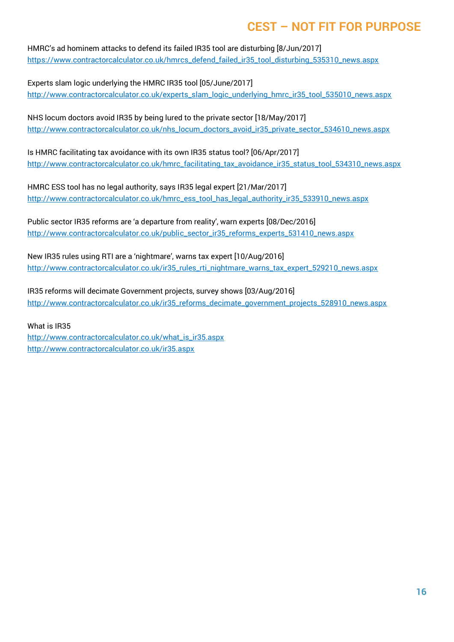HMRC's ad hominem attacks to defend its failed IR35 tool are disturbing [8/Jun/2017] [https://www.contractorcalculator.co.uk/hmrcs\\_defend\\_failed\\_ir35\\_tool\\_disturbing\\_535310\\_news.aspx](https://www.contractorcalculator.co.uk/hmrcs_defend_failed_ir35_tool_disturbing_535310_news.aspx)

Experts slam logic underlying the HMRC IR35 tool [05/June/2017] [http://www.contractorcalculator.co.uk/experts\\_slam\\_logic\\_underlying\\_hmrc\\_ir35\\_tool\\_535010\\_news.aspx](http://www.contractorcalculator.co.uk/experts_slam_logic_underlying_hmrc_ir35_tool_535010_news.aspx)

NHS locum doctors avoid IR35 by being lured to the private sector [18/May/2017] [http://www.contractorcalculator.co.uk/nhs\\_locum\\_doctors\\_avoid\\_ir35\\_private\\_sector\\_534610\\_news.aspx](http://www.contractorcalculator.co.uk/nhs_locum_doctors_avoid_ir35_private_sector_534610_news.aspx)

Is HMRC facilitating tax avoidance with its own IR35 status tool? [06/Apr/2017] [http://www.contractorcalculator.co.uk/hmrc\\_facilitating\\_tax\\_avoidance\\_ir35\\_status\\_tool\\_534310\\_news.aspx](http://www.contractorcalculator.co.uk/hmrc_facilitating_tax_avoidance_ir35_status_tool_534310_news.aspx)

HMRC ESS tool has no legal authority, says IR35 legal expert [21/Mar/2017] [http://www.contractorcalculator.co.uk/hmrc\\_ess\\_tool\\_has\\_legal\\_authority\\_ir35\\_533910\\_news.aspx](http://www.contractorcalculator.co.uk/hmrc_ess_tool_has_legal_authority_ir35_533910_news.aspx)

Public sector IR35 reforms are 'a departure from reality', warn experts [08/Dec/2016] [http://www.contractorcalculator.co.uk/public\\_sector\\_ir35\\_reforms\\_experts\\_531410\\_news.aspx](http://www.contractorcalculator.co.uk/public_sector_ir35_reforms_experts_531410_news.aspx)

New IR35 rules using RTI are a 'nightmare', warns tax expert [10/Aug/2016] [http://www.contractorcalculator.co.uk/ir35\\_rules\\_rti\\_nightmare\\_warns\\_tax\\_expert\\_529210\\_news.aspx](http://www.contractorcalculator.co.uk/ir35_rules_rti_nightmare_warns_tax_expert_529210_news.aspx)

IR35 reforms will decimate Government projects, survey shows [03/Aug/2016] [http://www.contractorcalculator.co.uk/ir35\\_reforms\\_decimate\\_government\\_projects\\_528910\\_news.aspx](http://www.contractorcalculator.co.uk/ir35_reforms_decimate_government_projects_528910_news.aspx)

What is IR35

[http://www.contractorcalculator.co.uk/what\\_is\\_ir35.aspx](http://www.contractorcalculator.co.uk/what_is_ir35.aspx) <http://www.contractorcalculator.co.uk/ir35.aspx>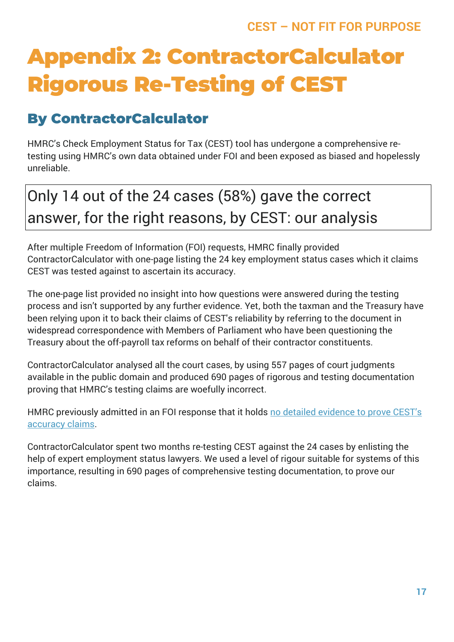# **Appendix 2: ContractorCalculator Rigorous Re-Testing of CEST**

# **By ContractorCalculator**

HMRC's Check Employment Status for Tax (CEST) tool has undergone a comprehensive retesting using HMRC's own data obtained under FOI and been exposed as biased and hopelessly unreliable.

# Only 14 out of the 24 cases (58%) gave the correct answer, for the right reasons, by CEST: our analysis

After multiple Freedom of Information (FOI) requests, HMRC finally provided ContractorCalculator with one-page listing the 24 key employment status cases which it claims CEST was tested against to ascertain its accuracy.

The one-page list provided no insight into how questions were answered during the testing process and isn't supported by any further evidence. Yet, both the taxman and the Treasury have been relying upon it to back their claims of CEST's reliability by referring to the document in widespread correspondence with Members of Parliament who have been questioning the Treasury about the off-payroll tax reforms on behalf of their contractor constituents.

ContractorCalculator analysed all the court cases, by using 557 pages of court judgments available in the public domain and produced 690 pages of rigorous and testing documentation proving that HMRC's testing claims are woefully incorrect.

HMRC previously admitted in an FOI response that it holds [no detailed evidence to prove CEST's](https://www.contractorcalculator.co.uk/hmrc_holds_detailed_evidence_prove_cest_540010_news.aspx)  [accuracy claims.](https://www.contractorcalculator.co.uk/hmrc_holds_detailed_evidence_prove_cest_540010_news.aspx)

ContractorCalculator spent two months re-testing CEST against the 24 cases by enlisting the help of expert employment status lawyers. We used a level of rigour suitable for systems of this importance, resulting in 690 pages of comprehensive testing documentation, to prove our claims.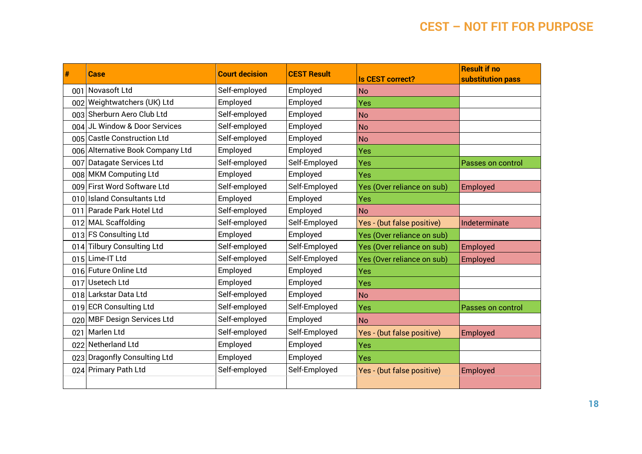| #   | <b>Case</b>                      | <b>Court decision</b> | <b>CEST Result</b> | <b>Is CEST correct?</b>    | <b>Result if no</b><br>substitution pass |
|-----|----------------------------------|-----------------------|--------------------|----------------------------|------------------------------------------|
| 001 | Novasoft Ltd                     | Self-employed         | Employed           | <b>No</b>                  |                                          |
|     | 002 Weightwatchers (UK) Ltd      | Employed              | Employed           | Yes                        |                                          |
|     | 003 Sherburn Aero Club Ltd       | Self-employed         | Employed           | <b>No</b>                  |                                          |
| 004 | JL Window & Door Services        | Self-employed         | Employed           | <b>No</b>                  |                                          |
|     | 005 Castle Construction Ltd      | Self-employed         | Employed           | No                         |                                          |
|     | 006 Alternative Book Company Ltd | Employed              | Employed           | Yes                        |                                          |
| 007 | Datagate Services Ltd            | Self-employed         | Self-Employed      | Yes                        | Passes on control                        |
| 008 | <b>MKM Computing Ltd</b>         | Employed              | Employed           | Yes                        |                                          |
| 009 | <b>First Word Software Ltd</b>   | Self-employed         | Self-Employed      | Yes (Over reliance on sub) | Employed                                 |
|     | 010 Island Consultants Ltd       | Employed              | Employed           | Yes                        |                                          |
|     | 011 Parade Park Hotel Ltd        | Self-employed         | Employed           | <b>No</b>                  |                                          |
|     | 012 MAL Scaffolding              | Self-employed         | Self-Employed      | Yes - (but false positive) | Indeterminate                            |
|     | 013 FS Consulting Ltd            | Employed              | Employed           | Yes (Over reliance on sub) |                                          |
|     | 014 Tilbury Consulting Ltd       | Self-employed         | Self-Employed      | Yes (Over reliance on sub) | Employed                                 |
|     | 015 Lime-IT Ltd                  | Self-employed         | Self-Employed      | Yes (Over reliance on sub) | Employed                                 |
|     | 016 Future Online Ltd            | Employed              | Employed           | Yes                        |                                          |
| 017 | Usetech Ltd                      | Employed              | Employed           | Yes                        |                                          |
|     | 018 Larkstar Data Ltd            | Self-employed         | Employed           | <b>No</b>                  |                                          |
|     | 019 ECR Consulting Ltd           | Self-employed         | Self-Employed      | Yes                        | Passes on control                        |
|     | 020 MBF Design Services Ltd      | Self-employed         | Employed           | <b>No</b>                  |                                          |
| 021 | Marlen Ltd                       | Self-employed         | Self-Employed      | Yes - (but false positive) | Employed                                 |
| 022 | Netherland Ltd                   | Employed              | Employed           | Yes                        |                                          |
| 023 | <b>Dragonfly Consulting Ltd</b>  | Employed              | Employed           | Yes                        |                                          |
|     | 024 Primary Path Ltd             | Self-employed         | Self-Employed      | Yes - (but false positive) | Employed                                 |
|     |                                  |                       |                    |                            |                                          |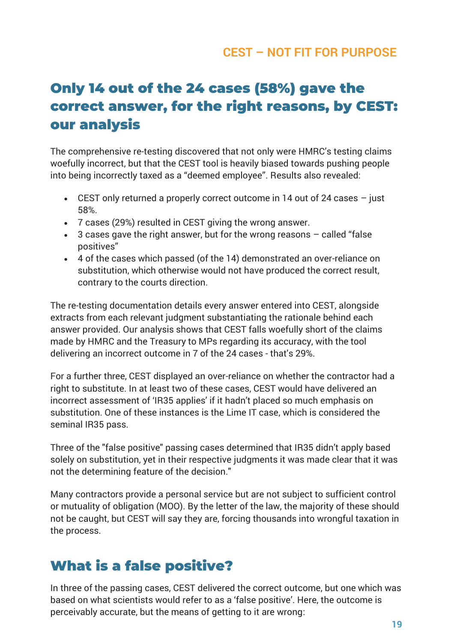## **Only 14 out of the 24 cases (58%) gave the correct answer, for the right reasons, by CEST: our analysis**

The comprehensive re-testing discovered that not only were HMRC's testing claims woefully incorrect, but that the CEST tool is heavily biased towards pushing people into being incorrectly taxed as a "deemed employee". Results also revealed:

- CEST only returned a properly correct outcome in 14 out of 24 cases just 58%.
- 7 cases (29%) resulted in CEST giving the wrong answer.
- $\bullet$  3 cases gave the right answer, but for the wrong reasons  $-$  called "false" positives"
- 4 of the cases which passed (of the 14) demonstrated an over-reliance on substitution, which otherwise would not have produced the correct result, contrary to the courts direction.

The re-testing documentation details every answer entered into CEST, alongside extracts from each relevant judgment substantiating the rationale behind each answer provided. Our analysis shows that CEST falls woefully short of the claims made by HMRC and the Treasury to MPs regarding its accuracy, with the tool delivering an incorrect outcome in 7 of the 24 cases - that's 29%.

For a further three, CEST displayed an over-reliance on whether the contractor had a right to substitute. In at least two of these cases, CEST would have delivered an incorrect assessment of 'IR35 applies' if it hadn't placed so much emphasis on substitution. One of these instances is the Lime IT case, which is considered the seminal IR35 pass.

Three of the "false positive" passing cases determined that IR35 didn't apply based solely on substitution, yet in their respective judgments it was made clear that it was not the determining feature of the decision."

Many contractors provide a personal service but are not subject to sufficient control or mutuality of obligation (MOO). By the letter of the law, the majority of these should not be caught, but CEST will say they are, forcing thousands into wrongful taxation in the process.

## **What is a false positive?**

In three of the passing cases, CEST delivered the correct outcome, but one which was based on what scientists would refer to as a 'false positive'. Here, the outcome is perceivably accurate, but the means of getting to it are wrong: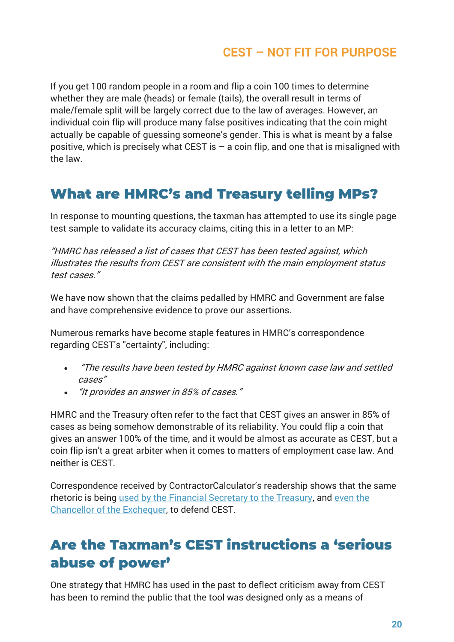If you get 100 random people in a room and flip a coin 100 times to determine whether they are male (heads) or female (tails), the overall result in terms of male/female split will be largely correct due to the law of averages. However, an individual coin flip will produce many false positives indicating that the coin might actually be capable of guessing someone's gender. This is what is meant by a false positive, which is precisely what CEST is  $-$  a coin flip, and one that is misaligned with the law.

## **What are HMRC's and Treasury telling MPs?**

In response to mounting questions, the taxman has attempted to use its single page test sample to validate its accuracy claims, citing this in a letter to an MP:

"HMRC has released a list of cases that CEST has been tested against, which illustrates the results from CEST are consistent with the main employment status test cases."

We have now shown that the claims pedalled by HMRC and Government are false and have comprehensive evidence to prove our assertions.

Numerous remarks have become staple features in HMRC's correspondence regarding CEST's "certainty", including:

- "The results have been tested by HMRC against known case law and settled cases"
- "It provides an answer in 85% of cases."

HMRC and the Treasury often refer to the fact that CEST gives an answer in 85% of cases as being somehow demonstrable of its reliability. You could flip a coin that gives an answer 100% of the time, and it would be almost as accurate as CEST, but a coin flip isn't a great arbiter when it comes to matters of employment case law. And neither is CEST.

Correspondence received by ContractorCalculator's readership shows that the same rhetoric is being [used by the Financial Secretary to the Treasury,](https://www.parliament.uk/business/publications/written-questions-answers-statements/written-question/Commons/2018-07-03/160205/) and [even the](https://www.contractorcalculator.co.uk/hmrc_misled_chancellor_treasury_payroll_tax_ir35_542110_news.aspx)  [Chancellor of the Exchequer,](https://www.contractorcalculator.co.uk/hmrc_misled_chancellor_treasury_payroll_tax_ir35_542110_news.aspx) to defend CEST.

# **Are the Taxman's CEST instructions a 'serious abuse of power'**

One strategy that HMRC has used in the past to deflect criticism away from CEST has been to remind the public that the tool was designed only as a means of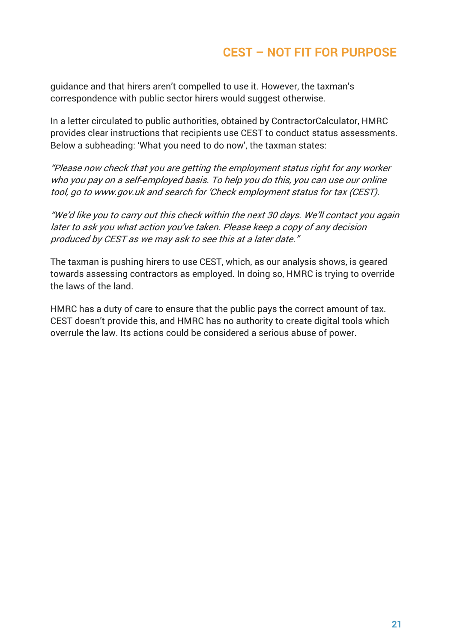guidance and that hirers aren't compelled to use it. However, the taxman's correspondence with public sector hirers would suggest otherwise.

In a letter circulated to public authorities, obtained by ContractorCalculator, HMRC provides clear instructions that recipients use CEST to conduct status assessments. Below a subheading: 'What you need to do now', the taxman states:

"Please now check that you are getting the employment status right for any worker who you pay on a self-employed basis. To help you do this, you can use our online tool, go to www.gov.uk and search for 'Check employment status for tax (CEST).

"We'd like you to carry out this check within the next 30 days. We'll contact you again later to ask you what action you've taken. Please keep a copy of any decision produced by CEST as we may ask to see this at a later date."

The taxman is pushing hirers to use CEST, which, as our analysis shows, is geared towards assessing contractors as employed. In doing so, HMRC is trying to override the laws of the land.

HMRC has a duty of care to ensure that the public pays the correct amount of tax. CEST doesn't provide this, and HMRC has no authority to create digital tools which overrule the law. Its actions could be considered a serious abuse of power.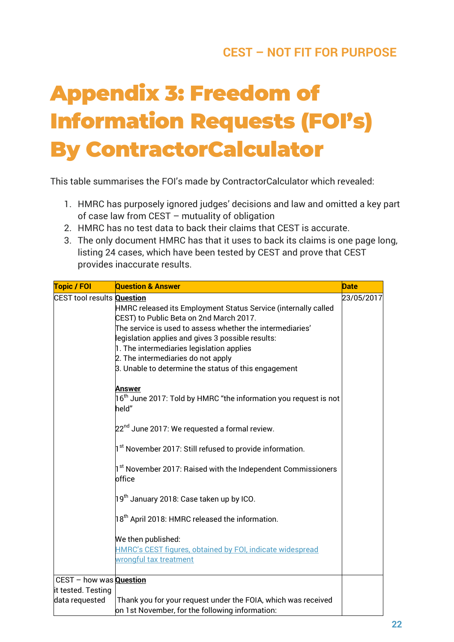# **Appendix 3: Freedom of Information Requests (FOI's) By ContractorCalculator**

This table summarises the FOI's made by ContractorCalculator which revealed:

- 1. HMRC has purposely ignored judges' decisions and law and omitted a key part of case law from CEST – mutuality of obligation
- 2. HMRC has no test data to back their claims that CEST is accurate.
- 3. The only document HMRC has that it uses to back its claims is one page long, listing 24 cases, which have been tested by CEST and prove that CEST provides inaccurate results.

| <b>Topic / FOI</b>                | <b>Question &amp; Answer</b>                                                 | <b>Date</b> |
|-----------------------------------|------------------------------------------------------------------------------|-------------|
| CEST tool results <b>Question</b> |                                                                              | 23/05/2017  |
|                                   | HMRC released its Employment Status Service (internally called               |             |
|                                   | CEST) to Public Beta on 2nd March 2017.                                      |             |
|                                   | The service is used to assess whether the intermediaries' $\,$               |             |
|                                   | legislation applies and gives 3 possible results:                            |             |
|                                   | 1. The intermediaries legislation applies                                    |             |
|                                   | 2. The intermediaries do not apply                                           |             |
|                                   | 3. Unable to determine the status of this engagement                         |             |
|                                   | Answer                                                                       |             |
|                                   | $16^{\text{th}}$ June 2017: Told by HMRC "the information you request is not |             |
|                                   | held"                                                                        |             |
|                                   | 22 <sup>nd</sup> June 2017: We requested a formal review.                    |             |
|                                   |                                                                              |             |
|                                   | 1 <sup>st</sup> November 2017: Still refused to provide information.         |             |
|                                   | 1st November 2017: Raised with the Independent Commissioners                 |             |
|                                   | office                                                                       |             |
|                                   | 19 <sup>th</sup> January 2018: Case taken up by ICO.                         |             |
|                                   |                                                                              |             |
|                                   | 18 <sup>th</sup> April 2018: HMRC released the information.                  |             |
|                                   | We then published:                                                           |             |
|                                   | HMRC's CEST figures, obtained by FOI, indicate widespread                    |             |
|                                   | wrongful tax treatment                                                       |             |
|                                   |                                                                              |             |
| CEST - how was <b>Question</b>    |                                                                              |             |
| it tested. Testing                |                                                                              |             |
| data requested                    | Thank you for your request under the FOIA, which was received                |             |
|                                   | on 1st November, for the following information:                              |             |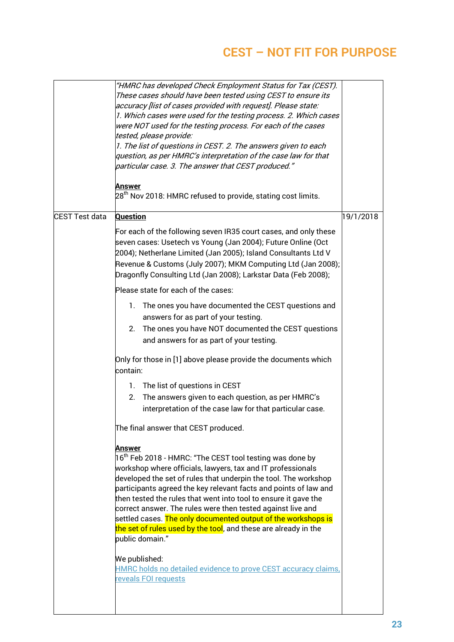|                | "HMRC has developed Check Employment Status for Tax (CEST).<br>These cases should have been tested using CEST to ensure its<br>accuracy [list of cases provided with request]. Please state:<br>1. Which cases were used for the testing process. 2. Which cases<br>were NOT used for the testing process. For each of the cases<br>tested, please provide:<br>1. The list of questions in CEST. 2. The answers given to each<br>question, as per HMRC's interpretation of the case law for that<br>particular case. 3. The answer that CEST produced."<br><u>Answer</u><br>$28^{\text{th}}$ Nov 2018: HMRC refused to provide, stating cost limits. |           |
|----------------|------------------------------------------------------------------------------------------------------------------------------------------------------------------------------------------------------------------------------------------------------------------------------------------------------------------------------------------------------------------------------------------------------------------------------------------------------------------------------------------------------------------------------------------------------------------------------------------------------------------------------------------------------|-----------|
| CEST Test data | <b>Question</b>                                                                                                                                                                                                                                                                                                                                                                                                                                                                                                                                                                                                                                      | 19/1/2018 |
|                | For each of the following seven IR35 court cases, and only these<br>seven cases: Usetech vs Young (Jan 2004); Future Online (Oct<br>2004); Netherlane Limited (Jan 2005); Island Consultants Ltd V<br>Revenue & Customs (July 2007); MKM Computing Ltd (Jan 2008);<br>Dragonfly Consulting Ltd (Jan 2008); Larkstar Data (Feb 2008);                                                                                                                                                                                                                                                                                                                 |           |
|                | Please state for each of the cases:                                                                                                                                                                                                                                                                                                                                                                                                                                                                                                                                                                                                                  |           |
|                | The ones you have documented the CEST questions and<br>1.<br>answers for as part of your testing.<br>The ones you have NOT documented the CEST questions<br>2.<br>and answers for as part of your testing.                                                                                                                                                                                                                                                                                                                                                                                                                                           |           |
|                | Only for those in [1] above please provide the documents which<br>contain:                                                                                                                                                                                                                                                                                                                                                                                                                                                                                                                                                                           |           |
|                | 1. The list of questions in CEST<br>The answers given to each question, as per HMRC's<br>2.<br>interpretation of the case law for that particular case.                                                                                                                                                                                                                                                                                                                                                                                                                                                                                              |           |
|                | The final answer that CEST produced.                                                                                                                                                                                                                                                                                                                                                                                                                                                                                                                                                                                                                 |           |
|                | <u>Answer</u><br>$ 16^{\text{th}}$ Feb 2018 - HMRC: "The CEST tool testing was done by<br>workshop where officials, lawyers, tax and IT professionals<br>developed the set of rules that underpin the tool. The workshop<br>participants agreed the key relevant facts and points of law and<br>then tested the rules that went into tool to ensure it gave the<br>correct answer. The rules were then tested against live and<br>settled cases. The only documented output of the workshops is<br>the set of rules used by the tool, and these are already in the<br>public domain."                                                                |           |
|                | We published:<br>HMRC holds no detailed evidence to prove CEST accuracy claims,<br>reveals FOI requests                                                                                                                                                                                                                                                                                                                                                                                                                                                                                                                                              |           |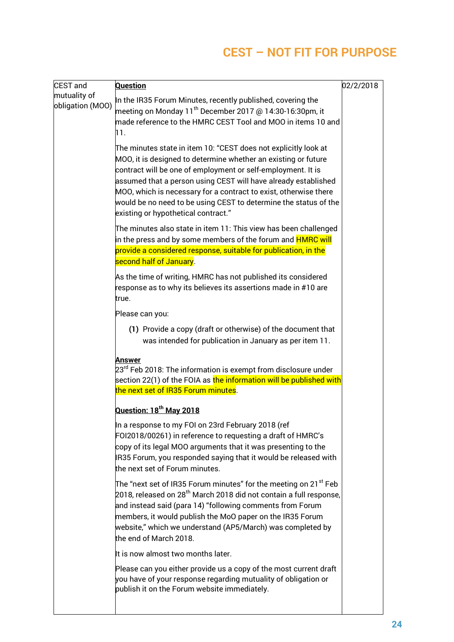| <b>CEST</b> and                  | <b>Question</b>                                                                                                                                                                                                                                                                                                                                                                                                                                         | 02/2/2018 |
|----------------------------------|---------------------------------------------------------------------------------------------------------------------------------------------------------------------------------------------------------------------------------------------------------------------------------------------------------------------------------------------------------------------------------------------------------------------------------------------------------|-----------|
| mutuality of<br>obligation (MOO) | In the IR35 Forum Minutes, recently published, covering the<br>meeting on Monday 11 <sup>th</sup> December 2017 @ 14:30-16:30pm, it                                                                                                                                                                                                                                                                                                                     |           |
|                                  | made reference to the HMRC CEST Tool and MOO in items 10 and<br>11.                                                                                                                                                                                                                                                                                                                                                                                     |           |
|                                  | The minutes state in item 10: "CEST does not explicitly look at $\;$<br>MOO, it is designed to determine whether an existing or future<br>contract will be one of employment or self-employment. It is<br>assumed that a person using CEST will have already established<br>MOO, which is necessary for a contract to exist, otherwise there<br>would be no need to be using CEST to determine the status of the<br>existing or hypothetical contract." |           |
|                                  | The minutes also state in item 11: This view has been challenged<br>in the press and by some members of the forum and <mark>HMRC will</mark><br>provide a considered response, suitable for publication, in the                                                                                                                                                                                                                                         |           |
|                                  | second half of January.                                                                                                                                                                                                                                                                                                                                                                                                                                 |           |
|                                  | As the time of writing, HMRC has not published its considered<br>response as to why its believes its assertions made in #10 are<br>true.                                                                                                                                                                                                                                                                                                                |           |
|                                  | Please can you:                                                                                                                                                                                                                                                                                                                                                                                                                                         |           |
|                                  | (1) Provide a copy (draft or otherwise) of the document that<br>was intended for publication in January as per item 11.                                                                                                                                                                                                                                                                                                                                 |           |
|                                  | Answer<br>$23^{\text{rd}}$ Feb 2018: The information is exempt from disclosure under<br>section 22(1) of the FOIA as <mark>the information will be published with</mark><br>the next set of IR35 Forum minutes.                                                                                                                                                                                                                                         |           |
|                                  | Question: 18 <sup>th</sup> May 2018                                                                                                                                                                                                                                                                                                                                                                                                                     |           |
|                                  | In a response to my FOI on 23rd February 2018 (ref<br>FOI2018/00261) in reference to requesting a draft of HMRC's<br>copy of its legal MOO arguments that it was presenting to the<br>IR35 Forum, you responded saying that it would be released with<br>the next set of Forum minutes.                                                                                                                                                                 |           |
|                                  | The "next set of IR35 Forum minutes" for the meeting on 21 $^{\rm st}$ Feb<br>$2018$ , released on 28 $^{\rm th}$ March 2018 did not contain a full response,<br>and instead said (para 14) "following comments from Forum<br>members, it would publish the MoO paper on the IR35 Forum<br>website," which we understand (AP5/March) was completed by<br>the end of March 2018.                                                                         |           |
|                                  | It is now almost two months later.                                                                                                                                                                                                                                                                                                                                                                                                                      |           |
|                                  | Please can you either provide us a copy of the most current draft<br>you have of your response regarding mutuality of obligation or<br>publish it on the Forum website immediately.                                                                                                                                                                                                                                                                     |           |
|                                  |                                                                                                                                                                                                                                                                                                                                                                                                                                                         |           |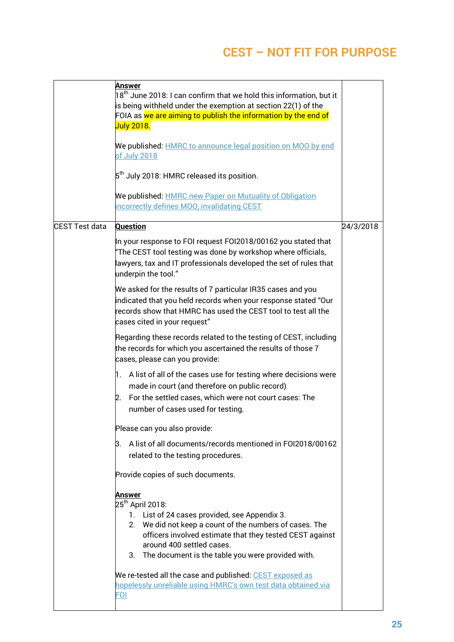|                | Answer<br>18 $^{\rm th}$ June 2018: I can confirm that we hold this information, but it<br>is being withheld under the exemption at section 22(1) of the<br>FOIA as we are aiming to publish the information by the end of<br><b>July 2018.</b><br>We published: <b>HMRC</b> to announce legal position on MOO by end<br>of July 2018<br>$5^{\text{th}}$ July 2018: HMRC released its position.<br>We published: <b>HMRC new Paper on Mutuality of Obligation</b><br>incorrectly defines MOO, invalidating CEST |           |
|----------------|-----------------------------------------------------------------------------------------------------------------------------------------------------------------------------------------------------------------------------------------------------------------------------------------------------------------------------------------------------------------------------------------------------------------------------------------------------------------------------------------------------------------|-----------|
| CEST Test data | <b>Question</b><br>In your response to FOI request FOI2018/00162 you stated that<br>"The CEST tool testing was done by workshop where officials,<br>lawyers, tax and IT professionals developed the set of rules that<br>underpin the tool."                                                                                                                                                                                                                                                                    | 24/3/2018 |
|                | We asked for the results of 7 particular IR35 cases and you<br>indicated that you held records when your response stated "Our<br>records show that HMRC has used the CEST tool to test all the<br>cases cited in your request"                                                                                                                                                                                                                                                                                  |           |
|                | Regarding these records related to the testing of CEST, including<br>the records for which you ascertained the results of those 7<br>cases, please can you provide:                                                                                                                                                                                                                                                                                                                                             |           |
|                | 1. A list of all of the cases use for testing where decisions were<br>made in court (and therefore on public record)<br>For the settled cases, which were not court cases: The<br>2.<br>number of cases used for testing.                                                                                                                                                                                                                                                                                       |           |
|                | Please can you also provide:                                                                                                                                                                                                                                                                                                                                                                                                                                                                                    |           |
|                | A list of all documents/records mentioned in FOI2018/00162<br>З.<br>related to the testing procedures.                                                                                                                                                                                                                                                                                                                                                                                                          |           |
|                | Provide copies of such documents.                                                                                                                                                                                                                                                                                                                                                                                                                                                                               |           |
|                | <u>Answer</u><br>25 <sup>th</sup> April 2018:<br>1. List of 24 cases provided, see Appendix 3.<br>We did not keep a count of the numbers of cases. The<br>2.<br>officers involved estimate that they tested CEST against<br>around 400 settled cases.<br>3. The document is the table you were provided with.<br>We re-tested all the case and published: CEST exposed as                                                                                                                                       |           |
|                | hopelessly unreliable using HMRC's own test data obtained via<br><b>FOI</b>                                                                                                                                                                                                                                                                                                                                                                                                                                     |           |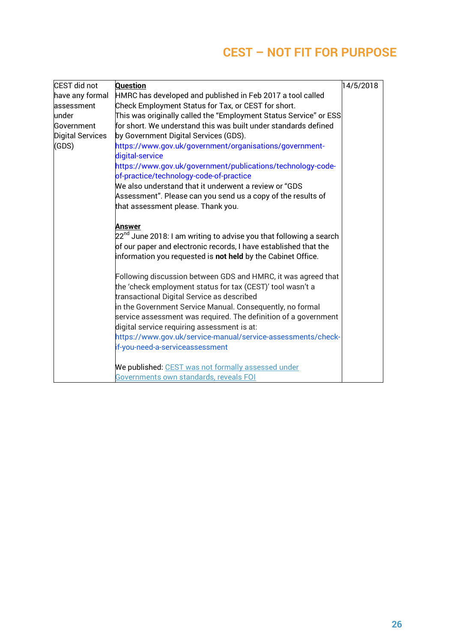| CEST did not     | <b>Question</b>                                                                                                                                                                                                              | 14/5/2018 |
|------------------|------------------------------------------------------------------------------------------------------------------------------------------------------------------------------------------------------------------------------|-----------|
| have any formal  | HMRC has developed and published in Feb 2017 a tool called                                                                                                                                                                   |           |
| assessment       | Check Employment Status for Tax, or CEST for short.                                                                                                                                                                          |           |
| under            | This was originally called the "Employment Status Service" or ESS                                                                                                                                                            |           |
| Government       | for short. We understand this was built under standards defined                                                                                                                                                              |           |
| Digital Services | by Government Digital Services (GDS).                                                                                                                                                                                        |           |
| (GDS)            | https://www.gov.uk/government/organisations/government-<br>digital-service                                                                                                                                                   |           |
|                  | https://www.gov.uk/government/publications/technology-code-<br>of-practice/technology-code-of-practice                                                                                                                       |           |
|                  | We also understand that it underwent a review or "GDS $\,$                                                                                                                                                                   |           |
|                  | Assessment". Please can you send us a copy of the results of                                                                                                                                                                 |           |
|                  | that assessment please. Thank you.                                                                                                                                                                                           |           |
|                  | <b>Answer</b><br>$22^{nd}$ June 2018: I am writing to advise you that following a search<br>of our paper and electronic records, I have established that the<br>information you requested is not held by the Cabinet Office. |           |
|                  | Following discussion between GDS and HMRC, it was agreed that<br>the 'check employment status for tax (CEST)' tool wasn't a<br>transactional Digital Service as described                                                    |           |
|                  | in the Government Service Manual. Consequently, no formal                                                                                                                                                                    |           |
|                  | service assessment was required. The definition of a government                                                                                                                                                              |           |
|                  | digital service requiring assessment is at:                                                                                                                                                                                  |           |
|                  | https://www.gov.uk/service-manual/service-assessments/check-                                                                                                                                                                 |           |
|                  | if-you-need-a-serviceassessment                                                                                                                                                                                              |           |
|                  | We published: CEST was not formally assessed under                                                                                                                                                                           |           |
|                  | Governments own standards, reveals FOI                                                                                                                                                                                       |           |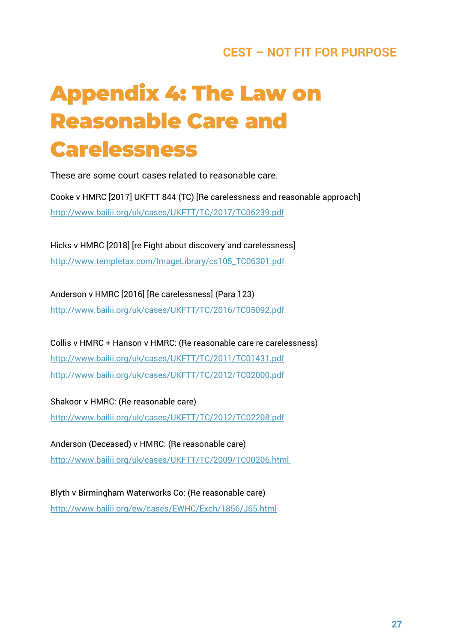# **Appendix 4: The Law on Reasonable Care and Carelessness**

These are some court cases related to reasonable care.

Cooke v HMRC [2017] UKFTT 844 (TC) [Re carelessness and reasonable approach] <http://www.bailii.org/uk/cases/UKFTT/TC/2017/TC06239.pdf>

Hicks v HMRC [2018] [re Fight about discovery and carelessness] [http://www.templetax.com/ImageLibrary/cs105\\_TC06301.pdf](http://www.templetax.com/ImageLibrary/cs105_TC06301.pdf)

Anderson v HMRC [2016] [Re carelessness] (Para 123) <http://www.bailii.org/uk/cases/UKFTT/TC/2016/TC05092.pdf>

Collis v HMRC + Hanson v HMRC: (Re reasonable care re carelessness) <http://www.bailii.org/uk/cases/UKFTT/TC/2011/TC01431.pdf> <http://www.bailii.org/uk/cases/UKFTT/TC/2012/TC02000.pdf>

Shakoor v HMRC: (Re reasonable care) <http://www.bailii.org/uk/cases/UKFTT/TC/2012/TC02208.pdf>

Anderson (Deceased) v HMRC: (Re reasonable care) http://www.bailii.org/uk/cases/UKFTT/TC/2009/TC00206.html

Blyth v Birmingham Waterworks Co: (Re reasonable care) <http://www.bailii.org/ew/cases/EWHC/Exch/1856/J65.html>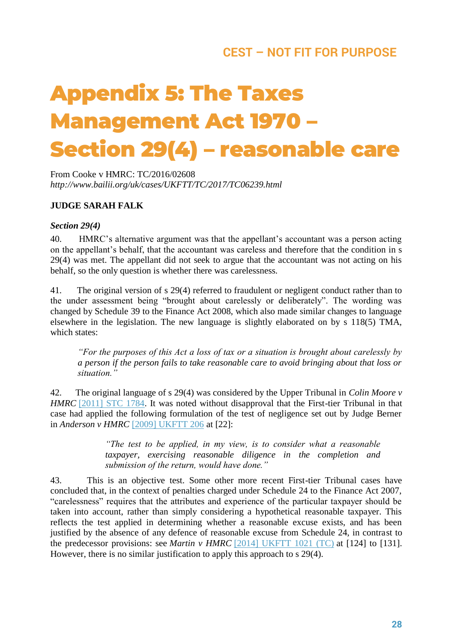# **Appendix 5: The Taxes Management Act 1970 – Section 29(4) – reasonable care**

From Cooke v HMRC: TC/2016/02608 *http://www.bailii.org/uk/cases/UKFTT/TC/2017/TC06239.html*

#### **JUDGE SARAH FALK**

#### *Section 29(4)*

40. HMRC's alternative argument was that the appellant's accountant was a person acting on the appellant's behalf, that the accountant was careless and therefore that the condition in s 29(4) was met. The appellant did not seek to argue that the accountant was not acting on his behalf, so the only question is whether there was carelessness.

41. The original version of s 29(4) referred to fraudulent or negligent conduct rather than to the under assessment being "brought about carelessly or deliberately". The wording was changed by Schedule 39 to the Finance Act 2008, which also made similar changes to language elsewhere in the legislation. The new language is slightly elaborated on by s 118(5) TMA, which states:

*"For the purposes of this Act a loss of tax or a situation is brought about carelessly by a person if the person fails to take reasonable care to avoid bringing about that loss or situation."*

42. The original language of s 29(4) was considered by the Upper Tribunal in *Colin Moore v HMRC* [\[2011\] STC 1784.](http://www.bailii.org/cgi-bin/redirect.cgi?path=/uk/cases/UKUT/TCC/2011/239.html) It was noted without disapproval that the First-tier Tribunal in that case had applied the following formulation of the test of negligence set out by Judge Berner in *Anderson v HMRC* [\[2009\] UKFTT 206](http://www.bailii.org/uk/cases/UKFTT/TC/2009/TC00159.html) at [22]:

> *"The test to be applied, in my view, is to consider what a reasonable taxpayer, exercising reasonable diligence in the completion and submission of the return, would have done."*

43. This is an objective test. Some other more recent First-tier Tribunal cases have concluded that, in the context of penalties charged under Schedule 24 to the Finance Act 2007, "carelessness" requires that the attributes and experience of the particular taxpayer should be taken into account, rather than simply considering a hypothetical reasonable taxpayer. This reflects the test applied in determining whether a reasonable excuse exists, and has been justified by the absence of any defence of reasonable excuse from Schedule 24, in contrast to the predecessor provisions: see *Martin v HMRC* [\[2014\] UKFTT 1021 \(TC\)](http://www.bailii.org/cgi-bin/redirect.cgi?path=/uk/cases/UKFTT/TC/2014/TC04117.html) at [124] to [131]. However, there is no similar justification to apply this approach to s 29(4).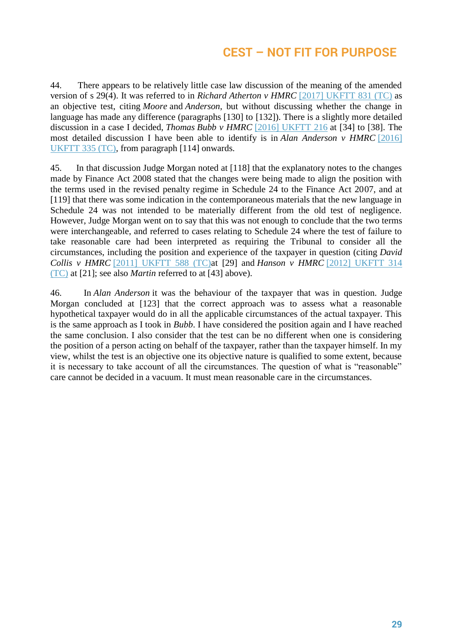44. There appears to be relatively little case law discussion of the meaning of the amended version of s 29(4). It was referred to in *Richard Atherton v HMRC* [\[2017\] UKFTT 831 \(TC\)](http://www.bailii.org/cgi-bin/redirect.cgi?path=/uk/cases/UKFTT/TC/2017/TC06226.html) as an objective test, citing *Moore* and *Anderson*, but without discussing whether the change in language has made any difference (paragraphs [130] to [132]). There is a slightly more detailed discussion in a case I decided, *Thomas Bubb v HMRC* [\[2016\] UKFTT 216](http://www.bailii.org/uk/cases/UKFTT/TC/2016/TC04992.html) at [34] to [38]. The most detailed discussion I have been able to identify is in *Alan Anderson v HMRC* [\[2016\]](http://www.bailii.org/cgi-bin/redirect.cgi?path=/uk/cases/UKFTT/TC/2016/TC05092.html)  [UKFTT 335 \(TC\),](http://www.bailii.org/cgi-bin/redirect.cgi?path=/uk/cases/UKFTT/TC/2016/TC05092.html) from paragraph [114] onwards.

45. In that discussion Judge Morgan noted at [118] that the explanatory notes to the changes made by Finance Act 2008 stated that the changes were being made to align the position with the terms used in the revised penalty regime in Schedule 24 to the Finance Act 2007, and at [119] that there was some indication in the contemporaneous materials that the new language in Schedule 24 was not intended to be materially different from the old test of negligence. However, Judge Morgan went on to say that this was not enough to conclude that the two terms were interchangeable, and referred to cases relating to Schedule 24 where the test of failure to take reasonable care had been interpreted as requiring the Tribunal to consider all the circumstances, including the position and experience of the taxpayer in question (citing *David Collis v HMRC* [\[2011\] UKFTT 588 \(TC\)a](http://www.bailii.org/cgi-bin/redirect.cgi?path=/uk/cases/UKFTT/TC/2011/TC01431.html)t [29] and *Hanson v HMRC* [\[2012\] UKFTT 314](http://www.bailii.org/cgi-bin/redirect.cgi?path=/uk/cases/UKFTT/TC/2012/TC02000.html)  [\(TC\)](http://www.bailii.org/cgi-bin/redirect.cgi?path=/uk/cases/UKFTT/TC/2012/TC02000.html) at [21]; see also *Martin* referred to at [43] above).

46. In *Alan Anderson* it was the behaviour of the taxpayer that was in question. Judge Morgan concluded at [123] that the correct approach was to assess what a reasonable hypothetical taxpayer would do in all the applicable circumstances of the actual taxpayer. This is the same approach as I took in *Bubb*. I have considered the position again and I have reached the same conclusion. I also consider that the test can be no different when one is considering the position of a person acting on behalf of the taxpayer, rather than the taxpayer himself. In my view, whilst the test is an objective one its objective nature is qualified to some extent, because it is necessary to take account of all the circumstances. The question of what is "reasonable" care cannot be decided in a vacuum. It must mean reasonable care in the circumstances.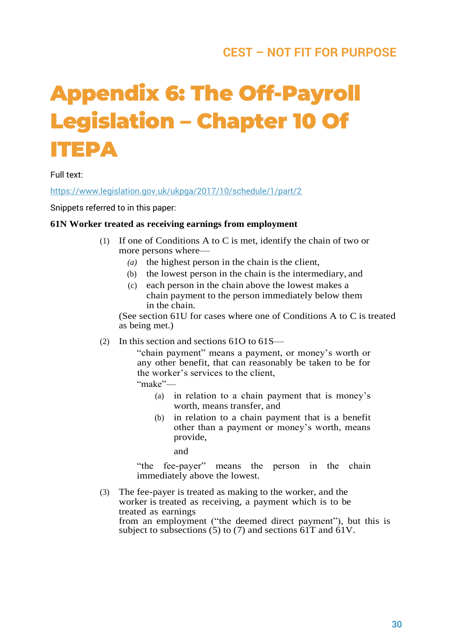# **Appendix 6: The Off-Payroll Legislation – Chapter 10 Of ITEPA**

Full text:

<https://www.legislation.gov.uk/ukpga/2017/10/schedule/1/part/2>

Snippets referred to in this paper:

#### **61N Worker treated as receiving earnings from employment**

- (1) If one of Conditions A to C is met, identify the chain of two or more persons where—
	- *(a)* the highest person in the chain is the client,
	- (b) the lowest person in the chain is the intermediary, and
	- (c) each person in the chain above the lowest makes a chain payment to the person immediately below them in the chain.

(See section 61U for cases where one of Conditions A to C is treated as being met.)

(2) In this section and sections 61O to 61S—

"chain payment" means a payment, or money's worth or any other benefit, that can reasonably be taken to be for the worker's services to the client,

"make"—

- (a) in relation to a chain payment that is money's worth, means transfer, and
- (b) in relation to a chain payment that is a benefit other than a payment or money's worth, means provide,

and

"the fee-payer" means the person in the chain immediately above the lowest.

(3) The fee-payer is treated as making to the worker, and the worker is treated as receiving, a payment which is to be treated as earnings from an employment ("the deemed direct payment"), but this is subject to subsections  $(5)$  to  $(7)$  and sections  $61T$  and  $61V$ .